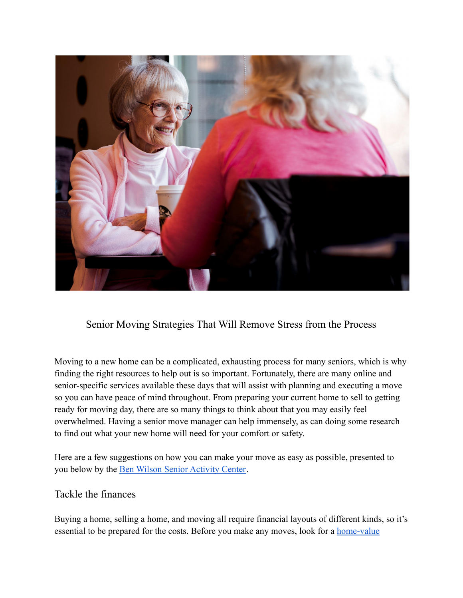

Senior Moving Strategies That Will Remove Stress from the Process

Moving to a new home can be a complicated, exhausting process for many seniors, which is why finding the right resources to help out is so important. Fortunately, there are many online and senior-specific services available these days that will assist with planning and executing a move so you can have peace of mind throughout. From preparing your current home to sell to getting ready for moving day, there are so many things to think about that you may easily feel overwhelmed. Having a senior move manager can help immensely, as can doing some research to find out what your new home will need for your comfort or safety.

Here are a few suggestions on how you can make your move as easy as possible, presented to you below by the [Ben Wilson Senior Activity Center](https://bwsac.org/).

## Tackle the finances

Buying a home, selling a home, and moving all require financial layouts of different kinds, so it's essential to be prepared for the costs. Before you make any moves, look for a [home-value](https://www.redfin.com/what-is-my-home-worth)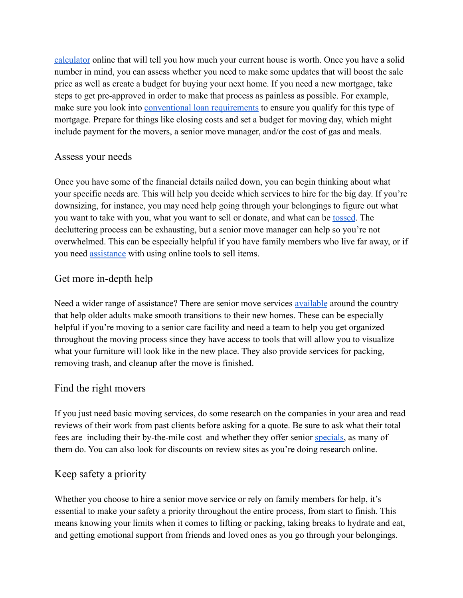[calculator](https://www.redfin.com/what-is-my-home-worth) online that will tell you how much your current house is worth. Once you have a solid number in mind, you can assess whether you need to make some updates that will boost the sale price as well as create a budget for buying your next home. If you need a new mortgage, take steps to get pre-approved in order to make that process as painless as possible. For example, make sure you look into [conventional loan requirements](https://www.pennymac.com/conventional-home-loans) to ensure you qualify for this type of mortgage. Prepare for things like closing costs and set a budget for moving day, which might include payment for the movers, a senior move manager, and/or the cost of gas and meals.

### Assess your needs

Once you have some of the financial details nailed down, you can begin thinking about what your specific needs are. This will help you decide which services to hire for the big day. If you're downsizing, for instance, you may need help going through your belongings to figure out what you want to take with you, what you want to sell or donate, and what can be [tossed](https://www.aarp.org/money/budgeting-saving/info-2015/downsizing-items-to-ditch-photo.html). The decluttering process can be exhausting, but a senior move manager can help so you're not overwhelmed. This can be especially helpful if you have family members who live far away, or if you need [assistance](https://www.aplaceformom.com/caregiver-resources/articles/moving-managers) with using online tools to sell items.

## Get more in-depth help

Need a wider range of assistance? There are senior move services [available](https://www.thespruce.com/best-senior-moving-services-5116674) around the country that help older adults make smooth transitions to their new homes. These can be especially helpful if you're moving to a senior care facility and need a team to help you get organized throughout the moving process since they have access to tools that will allow you to visualize what your furniture will look like in the new place. They also provide services for packing, removing trash, and cleanup after the move is finished.

#### Find the right movers

If you just need basic moving services, do some research on the companies in your area and read reviews of their work from past clients before asking for a quote. Be sure to ask what their total fees are–including their by-the-mile cost–and whether they offer senior [specials,](https://www.thisoldhouse.com/storage-organization/22724002/best-moving-companies-for-senior-discounts) as many of them do. You can also look for discounts on review sites as you're doing research online.

## Keep safety a priority

Whether you choose to hire a senior move service or rely on family members for help, it's essential to make your safety a priority throughout the entire process, from start to finish. This means knowing your limits when it comes to lifting or packing, taking breaks to hydrate and eat, and getting emotional support from friends and loved ones as you go through your belongings.